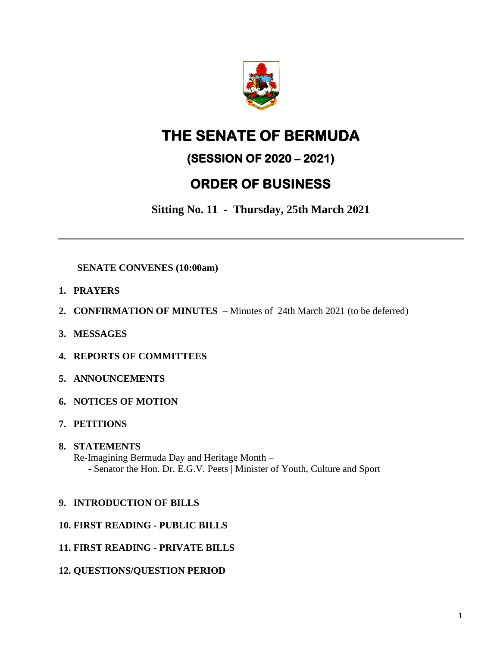

# **THE SENATE OF BERMUDA**

### **(SESSION OF 2020 – 2021)**

## **ORDER OF BUSINESS**

**Sitting No. 11 - Thursday, 25th March 2021**

### **SENATE CONVENES (10:00am)**

- **1. PRAYERS**
- **2. CONFIRMATION OF MINUTES**  Minutes of 24th March 2021 (to be deferred)
- **3. MESSAGES**
- **4. REPORTS OF COMMITTEES**
- **5. ANNOUNCEMENTS**
- **6. NOTICES OF MOTION**
- **7. PETITIONS**
- **8. STATEMENTS**  Re-Imagining Bermuda Day and Heritage Month – - Senator the Hon. Dr. E.G.V. Peets | Minister of Youth, Culture and Sport

#### **9. INTRODUCTION OF BILLS**

- **10. FIRST READING - PUBLIC BILLS**
- **11. FIRST READING - PRIVATE BILLS**
- **12. QUESTIONS/QUESTION PERIOD**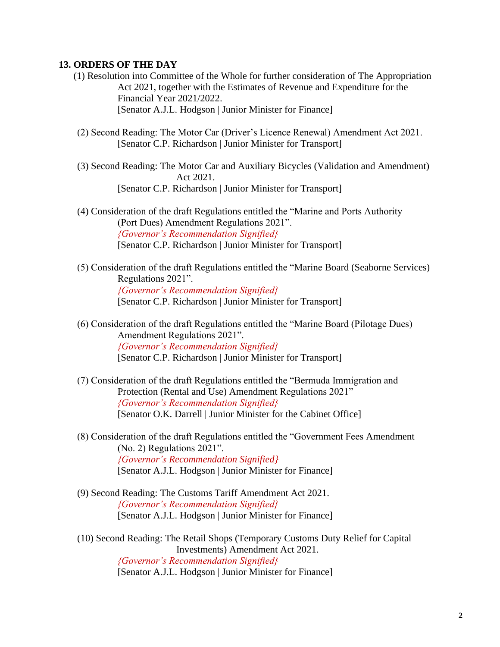#### **13. ORDERS OF THE DAY**

- (1) Resolution into Committee of the Whole for further consideration of The Appropriation Act 2021, together with the Estimates of Revenue and Expenditure for the Financial Year 2021/2022. [Senator A.J.L. Hodgson | Junior Minister for Finance]
- (2) Second Reading: The Motor Car (Driver's Licence Renewal) Amendment Act 2021. [Senator C.P. Richardson | Junior Minister for Transport]
- (3) Second Reading: The Motor Car and Auxiliary Bicycles (Validation and Amendment) Act 2021. [Senator C.P. Richardson | Junior Minister for Transport]
- (4) Consideration of the draft Regulations entitled the "Marine and Ports Authority (Port Dues) Amendment Regulations 2021". *{Governor's Recommendation Signified}* [Senator C.P. Richardson | Junior Minister for Transport]
- (5) Consideration of the draft Regulations entitled the "Marine Board (Seaborne Services) Regulations 2021". *{Governor's Recommendation Signified}* [Senator C.P. Richardson | Junior Minister for Transport]
- (6) Consideration of the draft Regulations entitled the "Marine Board (Pilotage Dues) Amendment Regulations 2021". *{Governor's Recommendation Signified}* [Senator C.P. Richardson | Junior Minister for Transport]
- (7) Consideration of the draft Regulations entitled the "Bermuda Immigration and Protection (Rental and Use) Amendment Regulations 2021" *{Governor's Recommendation Signified}* [Senator O.K. Darrell | Junior Minister for the Cabinet Office]
- (8) Consideration of the draft Regulations entitled the "Government Fees Amendment (No. 2) Regulations 2021". *{Governor's Recommendation Signified}* [Senator A.J.L. Hodgson | Junior Minister for Finance]
- (9) Second Reading: The Customs Tariff Amendment Act 2021. *{Governor's Recommendation Signified}* [Senator A.J.L. Hodgson | Junior Minister for Finance]
- (10) Second Reading: The Retail Shops (Temporary Customs Duty Relief for Capital Investments) Amendment Act 2021. *{Governor's Recommendation Signified}* [Senator A.J.L. Hodgson | Junior Minister for Finance]